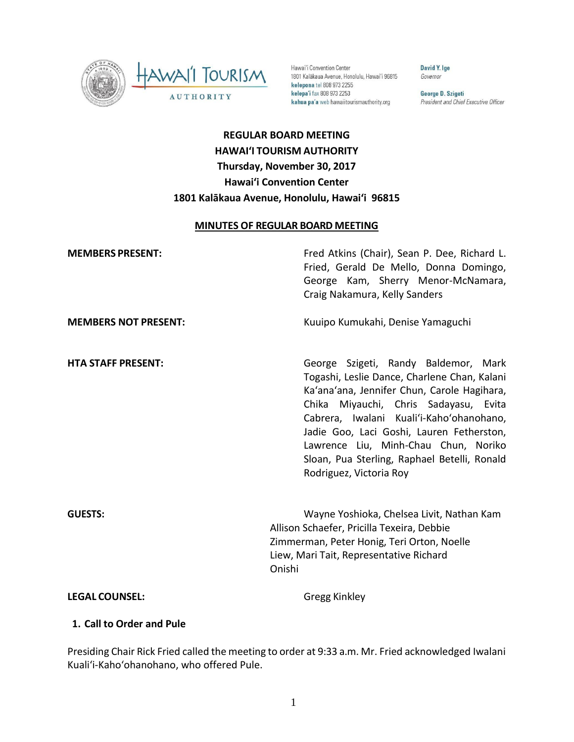

Hawai'i Convention Center 1801 Kalākaua Avenue, Honolulu, Hawai'i 96815 **kelepona** tel 808 973 2255 kelepa'i fax 808 973 2253 kahua pa'a web hawaiitourismauthority.org

David Y. Ige Governor

George D. Szigeti President and Chief Executive Officer

# **REGULAR BOARD MEETING HAWAI'I TOURISM AUTHORITY Thursday, November 30, 2017 Hawai'i Convention Center 1801 Kalākaua Avenue, Honolulu, Hawai'i 96815**

#### **MINUTES OF REGULAR BOARD MEETING**

| <b>MEMBERS PRESENT:</b>     | Fred Atkins (Chair), Sean P. Dee, Richard L.<br>Fried, Gerald De Mello, Donna Domingo,<br>George Kam, Sherry Menor-McNamara,<br>Craig Nakamura, Kelly Sanders                                                                                                                                                                                                                            |
|-----------------------------|------------------------------------------------------------------------------------------------------------------------------------------------------------------------------------------------------------------------------------------------------------------------------------------------------------------------------------------------------------------------------------------|
| <b>MEMBERS NOT PRESENT:</b> | Kuuipo Kumukahi, Denise Yamaguchi                                                                                                                                                                                                                                                                                                                                                        |
| <b>HTA STAFF PRESENT:</b>   | George Szigeti, Randy Baldemor, Mark<br>Togashi, Leslie Dance, Charlene Chan, Kalani<br>Ka'ana'ana, Jennifer Chun, Carole Hagihara,<br>Chika Miyauchi, Chris Sadayasu, Evita<br>Cabrera, Iwalani Kuali'i-Kaho'ohanohano,<br>Jadie Goo, Laci Goshi, Lauren Fetherston,<br>Lawrence Liu, Minh-Chau Chun, Noriko<br>Sloan, Pua Sterling, Raphael Betelli, Ronald<br>Rodriguez, Victoria Roy |
| <b>GUESTS:</b>              | Wayne Yoshioka, Chelsea Livit, Nathan Kam<br>Allison Schaefer, Pricilla Texeira, Debbie<br>Zimmerman, Peter Honig, Teri Orton, Noelle<br>Liew, Mari Tait, Representative Richard<br>Onishi                                                                                                                                                                                               |
| <b>LEGAL COUNSEL:</b>       | Gregg Kinkley                                                                                                                                                                                                                                                                                                                                                                            |

#### **1. Call to Order and Pule**

Presiding Chair Rick Fried called the meeting to order at 9:33 a.m. Mr. Fried acknowledged Iwalani Kualiʻi-Kahoʻohanohano, who offered Pule.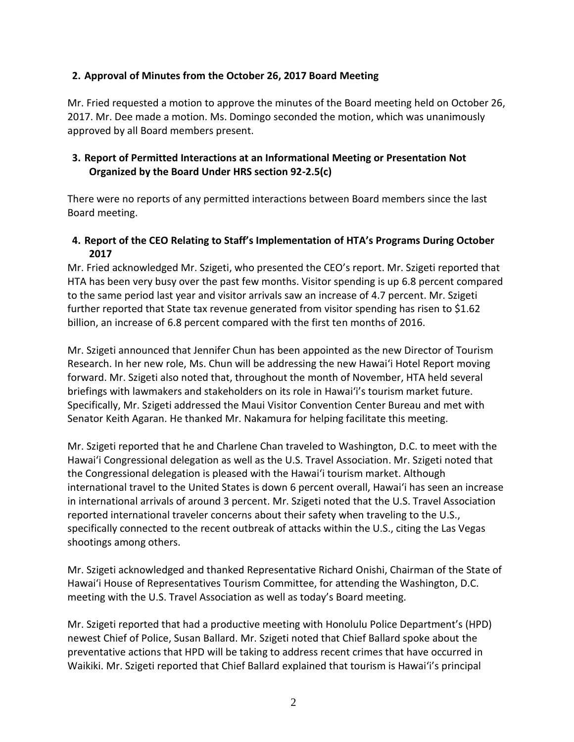#### **2. Approval of Minutes from the October 26, 2017 Board Meeting**

Mr. Fried requested a motion to approve the minutes of the Board meeting held on October 26, 2017. Mr. Dee made a motion. Ms. Domingo seconded the motion, which was unanimously approved by all Board members present.

#### **3. Report of Permitted Interactions at an Informational Meeting or Presentation Not Organized by the Board Under HRS section 92-2.5(c)**

There were no reports of any permitted interactions between Board members since the last Board meeting.

### **4. Report of the CEO Relating to Staff's Implementation of HTA's Programs During October 2017**

Mr. Fried acknowledged Mr. Szigeti, who presented the CEO's report. Mr. Szigeti reported that HTA has been very busy over the past few months. Visitor spending is up 6.8 percent compared to the same period last year and visitor arrivals saw an increase of 4.7 percent. Mr. Szigeti further reported that State tax revenue generated from visitor spending has risen to \$1.62 billion, an increase of 6.8 percent compared with the first ten months of 2016.

Mr. Szigeti announced that Jennifer Chun has been appointed as the new Director of Tourism Research. In her new role, Ms. Chun will be addressing the new Hawaiʻi Hotel Report moving forward. Mr. Szigeti also noted that, throughout the month of November, HTA held several briefings with lawmakers and stakeholders on its role in Hawaiʻi's tourism market future. Specifically, Mr. Szigeti addressed the Maui Visitor Convention Center Bureau and met with Senator Keith Agaran. He thanked Mr. Nakamura for helping facilitate this meeting.

Mr. Szigeti reported that he and Charlene Chan traveled to Washington, D.C. to meet with the Hawaiʻi Congressional delegation as well as the U.S. Travel Association. Mr. Szigeti noted that the Congressional delegation is pleased with the Hawaiʻi tourism market. Although international travel to the United States is down 6 percent overall, Hawaiʻi has seen an increase in international arrivals of around 3 percent. Mr. Szigeti noted that the U.S. Travel Association reported international traveler concerns about their safety when traveling to the U.S., specifically connected to the recent outbreak of attacks within the U.S., citing the Las Vegas shootings among others.

Mr. Szigeti acknowledged and thanked Representative Richard Onishi, Chairman of the State of Hawaiʻi House of Representatives Tourism Committee, for attending the Washington, D.C. meeting with the U.S. Travel Association as well as today's Board meeting.

Mr. Szigeti reported that had a productive meeting with Honolulu Police Department's (HPD) newest Chief of Police, Susan Ballard. Mr. Szigeti noted that Chief Ballard spoke about the preventative actions that HPD will be taking to address recent crimes that have occurred in Waikiki. Mr. Szigeti reported that Chief Ballard explained that tourism is Hawaiʻi's principal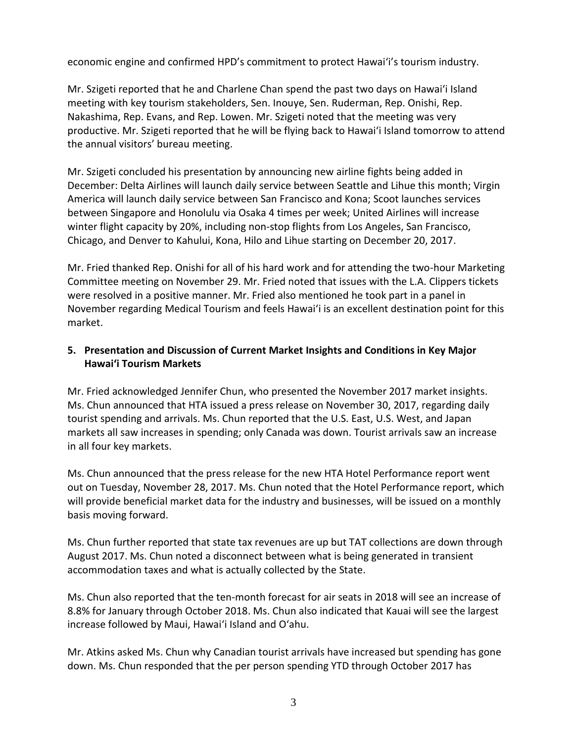economic engine and confirmed HPD's commitment to protect Hawaiʻi's tourism industry.

Mr. Szigeti reported that he and Charlene Chan spend the past two days on Hawaiʻi Island meeting with key tourism stakeholders, Sen. Inouye, Sen. Ruderman, Rep. Onishi, Rep. Nakashima, Rep. Evans, and Rep. Lowen. Mr. Szigeti noted that the meeting was very productive. Mr. Szigeti reported that he will be flying back to Hawaiʻi Island tomorrow to attend the annual visitors' bureau meeting.

Mr. Szigeti concluded his presentation by announcing new airline fights being added in December: Delta Airlines will launch daily service between Seattle and Lihue this month; Virgin America will launch daily service between San Francisco and Kona; Scoot launches services between Singapore and Honolulu via Osaka 4 times per week; United Airlines will increase winter flight capacity by 20%, including non-stop flights from Los Angeles, San Francisco, Chicago, and Denver to Kahului, Kona, Hilo and Lihue starting on December 20, 2017.

Mr. Fried thanked Rep. Onishi for all of his hard work and for attending the two-hour Marketing Committee meeting on November 29. Mr. Fried noted that issues with the L.A. Clippers tickets were resolved in a positive manner. Mr. Fried also mentioned he took part in a panel in November regarding Medical Tourism and feels Hawaiʻi is an excellent destination point for this market.

### **5. Presentation and Discussion of Current Market Insights and Conditions in Key Major Hawaiʻi Tourism Markets**

Mr. Fried acknowledged Jennifer Chun, who presented the November 2017 market insights. Ms. Chun announced that HTA issued a press release on November 30, 2017, regarding daily tourist spending and arrivals. Ms. Chun reported that the U.S. East, U.S. West, and Japan markets all saw increases in spending; only Canada was down. Tourist arrivals saw an increase in all four key markets.

Ms. Chun announced that the press release for the new HTA Hotel Performance report went out on Tuesday, November 28, 2017. Ms. Chun noted that the Hotel Performance report, which will provide beneficial market data for the industry and businesses, will be issued on a monthly basis moving forward.

Ms. Chun further reported that state tax revenues are up but TAT collections are down through August 2017. Ms. Chun noted a disconnect between what is being generated in transient accommodation taxes and what is actually collected by the State.

Ms. Chun also reported that the ten-month forecast for air seats in 2018 will see an increase of 8.8% for January through October 2018. Ms. Chun also indicated that Kauai will see the largest increase followed by Maui, Hawaiʻi Island and Oʻahu.

Mr. Atkins asked Ms. Chun why Canadian tourist arrivals have increased but spending has gone down. Ms. Chun responded that the per person spending YTD through October 2017 has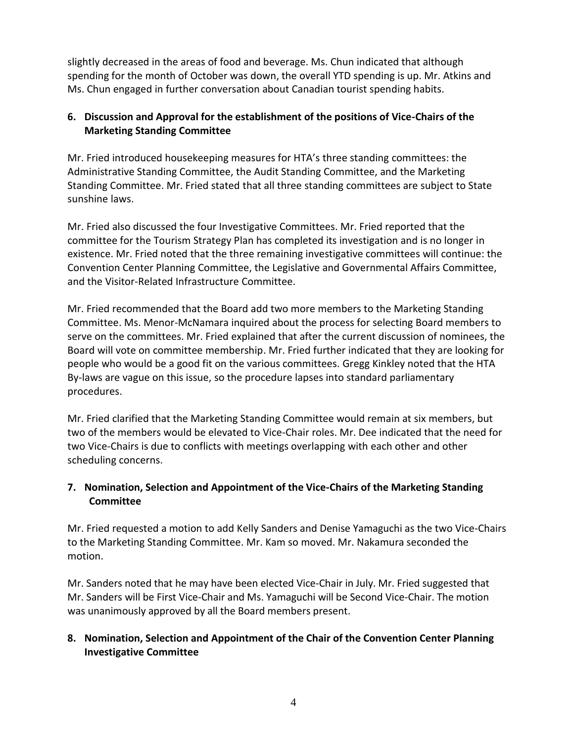slightly decreased in the areas of food and beverage. Ms. Chun indicated that although spending for the month of October was down, the overall YTD spending is up. Mr. Atkins and Ms. Chun engaged in further conversation about Canadian tourist spending habits.

# **6. Discussion and Approval for the establishment of the positions of Vice-Chairs of the Marketing Standing Committee**

Mr. Fried introduced housekeeping measures for HTA's three standing committees: the Administrative Standing Committee, the Audit Standing Committee, and the Marketing Standing Committee. Mr. Fried stated that all three standing committees are subject to State sunshine laws.

Mr. Fried also discussed the four Investigative Committees. Mr. Fried reported that the committee for the Tourism Strategy Plan has completed its investigation and is no longer in existence. Mr. Fried noted that the three remaining investigative committees will continue: the Convention Center Planning Committee, the Legislative and Governmental Affairs Committee, and the Visitor-Related Infrastructure Committee.

Mr. Fried recommended that the Board add two more members to the Marketing Standing Committee. Ms. Menor-McNamara inquired about the process for selecting Board members to serve on the committees. Mr. Fried explained that after the current discussion of nominees, the Board will vote on committee membership. Mr. Fried further indicated that they are looking for people who would be a good fit on the various committees. Gregg Kinkley noted that the HTA By-laws are vague on this issue, so the procedure lapses into standard parliamentary procedures.

Mr. Fried clarified that the Marketing Standing Committee would remain at six members, but two of the members would be elevated to Vice-Chair roles. Mr. Dee indicated that the need for two Vice-Chairs is due to conflicts with meetings overlapping with each other and other scheduling concerns.

# **7. Nomination, Selection and Appointment of the Vice-Chairs of the Marketing Standing Committee**

Mr. Fried requested a motion to add Kelly Sanders and Denise Yamaguchi as the two Vice-Chairs to the Marketing Standing Committee. Mr. Kam so moved. Mr. Nakamura seconded the motion.

Mr. Sanders noted that he may have been elected Vice-Chair in July. Mr. Fried suggested that Mr. Sanders will be First Vice-Chair and Ms. Yamaguchi will be Second Vice-Chair. The motion was unanimously approved by all the Board members present.

# **8. Nomination, Selection and Appointment of the Chair of the Convention Center Planning Investigative Committee**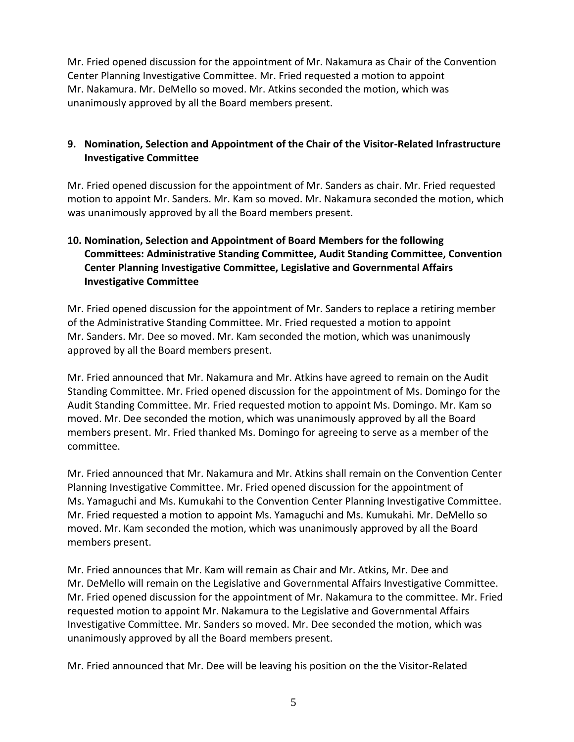Mr. Fried opened discussion for the appointment of Mr. Nakamura as Chair of the Convention Center Planning Investigative Committee. Mr. Fried requested a motion to appoint Mr. Nakamura. Mr. DeMello so moved. Mr. Atkins seconded the motion, which was unanimously approved by all the Board members present.

### **9. Nomination, Selection and Appointment of the Chair of the Visitor-Related Infrastructure Investigative Committee**

Mr. Fried opened discussion for the appointment of Mr. Sanders as chair. Mr. Fried requested motion to appoint Mr. Sanders. Mr. Kam so moved. Mr. Nakamura seconded the motion, which was unanimously approved by all the Board members present.

### **10. Nomination, Selection and Appointment of Board Members for the following Committees: Administrative Standing Committee, Audit Standing Committee, Convention Center Planning Investigative Committee, Legislative and Governmental Affairs Investigative Committee**

Mr. Fried opened discussion for the appointment of Mr. Sanders to replace a retiring member of the Administrative Standing Committee. Mr. Fried requested a motion to appoint Mr. Sanders. Mr. Dee so moved. Mr. Kam seconded the motion, which was unanimously approved by all the Board members present.

Mr. Fried announced that Mr. Nakamura and Mr. Atkins have agreed to remain on the Audit Standing Committee. Mr. Fried opened discussion for the appointment of Ms. Domingo for the Audit Standing Committee. Mr. Fried requested motion to appoint Ms. Domingo. Mr. Kam so moved. Mr. Dee seconded the motion, which was unanimously approved by all the Board members present. Mr. Fried thanked Ms. Domingo for agreeing to serve as a member of the committee.

Mr. Fried announced that Mr. Nakamura and Mr. Atkins shall remain on the Convention Center Planning Investigative Committee. Mr. Fried opened discussion for the appointment of Ms. Yamaguchi and Ms. Kumukahi to the Convention Center Planning Investigative Committee. Mr. Fried requested a motion to appoint Ms. Yamaguchi and Ms. Kumukahi. Mr. DeMello so moved. Mr. Kam seconded the motion, which was unanimously approved by all the Board members present.

Mr. Fried announces that Mr. Kam will remain as Chair and Mr. Atkins, Mr. Dee and Mr. DeMello will remain on the Legislative and Governmental Affairs Investigative Committee. Mr. Fried opened discussion for the appointment of Mr. Nakamura to the committee. Mr. Fried requested motion to appoint Mr. Nakamura to the Legislative and Governmental Affairs Investigative Committee. Mr. Sanders so moved. Mr. Dee seconded the motion, which was unanimously approved by all the Board members present.

Mr. Fried announced that Mr. Dee will be leaving his position on the the Visitor-Related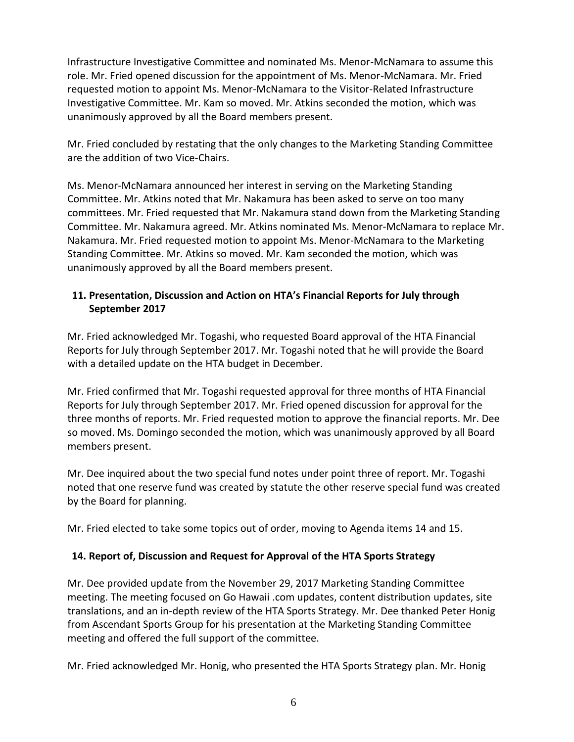Infrastructure Investigative Committee and nominated Ms. Menor-McNamara to assume this role. Mr. Fried opened discussion for the appointment of Ms. Menor-McNamara. Mr. Fried requested motion to appoint Ms. Menor-McNamara to the Visitor-Related Infrastructure Investigative Committee. Mr. Kam so moved. Mr. Atkins seconded the motion, which was unanimously approved by all the Board members present.

Mr. Fried concluded by restating that the only changes to the Marketing Standing Committee are the addition of two Vice-Chairs.

Ms. Menor-McNamara announced her interest in serving on the Marketing Standing Committee. Mr. Atkins noted that Mr. Nakamura has been asked to serve on too many committees. Mr. Fried requested that Mr. Nakamura stand down from the Marketing Standing Committee. Mr. Nakamura agreed. Mr. Atkins nominated Ms. Menor-McNamara to replace Mr. Nakamura. Mr. Fried requested motion to appoint Ms. Menor-McNamara to the Marketing Standing Committee. Mr. Atkins so moved. Mr. Kam seconded the motion, which was unanimously approved by all the Board members present.

# **11. Presentation, Discussion and Action on HTA's Financial Reports for July through September 2017**

Mr. Fried acknowledged Mr. Togashi, who requested Board approval of the HTA Financial Reports for July through September 2017. Mr. Togashi noted that he will provide the Board with a detailed update on the HTA budget in December.

Mr. Fried confirmed that Mr. Togashi requested approval for three months of HTA Financial Reports for July through September 2017. Mr. Fried opened discussion for approval for the three months of reports. Mr. Fried requested motion to approve the financial reports. Mr. Dee so moved. Ms. Domingo seconded the motion, which was unanimously approved by all Board members present.

Mr. Dee inquired about the two special fund notes under point three of report. Mr. Togashi noted that one reserve fund was created by statute the other reserve special fund was created by the Board for planning.

Mr. Fried elected to take some topics out of order, moving to Agenda items 14 and 15.

# **14. Report of, Discussion and Request for Approval of the HTA Sports Strategy**

Mr. Dee provided update from the November 29, 2017 Marketing Standing Committee meeting. The meeting focused on Go Hawaii .com updates, content distribution updates, site translations, and an in-depth review of the HTA Sports Strategy. Mr. Dee thanked Peter Honig from Ascendant Sports Group for his presentation at the Marketing Standing Committee meeting and offered the full support of the committee.

Mr. Fried acknowledged Mr. Honig, who presented the HTA Sports Strategy plan. Mr. Honig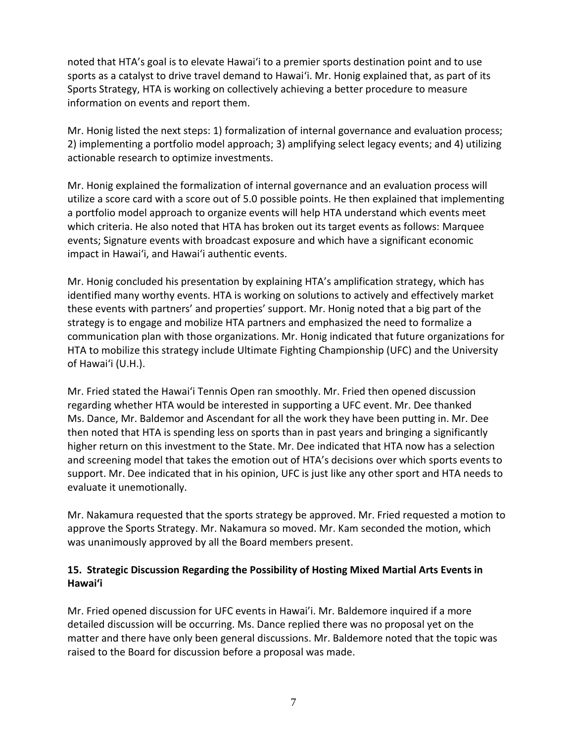noted that HTA's goal is to elevate Hawaiʻi to a premier sports destination point and to use sports as a catalyst to drive travel demand to Hawaiʻi. Mr. Honig explained that, as part of its Sports Strategy, HTA is working on collectively achieving a better procedure to measure information on events and report them.

Mr. Honig listed the next steps: 1) formalization of internal governance and evaluation process; 2) implementing a portfolio model approach; 3) amplifying select legacy events; and 4) utilizing actionable research to optimize investments.

Mr. Honig explained the formalization of internal governance and an evaluation process will utilize a score card with a score out of 5.0 possible points. He then explained that implementing a portfolio model approach to organize events will help HTA understand which events meet which criteria. He also noted that HTA has broken out its target events as follows: Marquee events; Signature events with broadcast exposure and which have a significant economic impact in Hawaiʻi, and Hawaiʻi authentic events.

Mr. Honig concluded his presentation by explaining HTA's amplification strategy, which has identified many worthy events. HTA is working on solutions to actively and effectively market these events with partners' and properties' support. Mr. Honig noted that a big part of the strategy is to engage and mobilize HTA partners and emphasized the need to formalize a communication plan with those organizations. Mr. Honig indicated that future organizations for HTA to mobilize this strategy include Ultimate Fighting Championship (UFC) and the University of Hawaiʻi (U.H.).

Mr. Fried stated the Hawaiʻi Tennis Open ran smoothly. Mr. Fried then opened discussion regarding whether HTA would be interested in supporting a UFC event. Mr. Dee thanked Ms. Dance, Mr. Baldemor and Ascendant for all the work they have been putting in. Mr. Dee then noted that HTA is spending less on sports than in past years and bringing a significantly higher return on this investment to the State. Mr. Dee indicated that HTA now has a selection and screening model that takes the emotion out of HTA's decisions over which sports events to support. Mr. Dee indicated that in his opinion, UFC is just like any other sport and HTA needs to evaluate it unemotionally.

Mr. Nakamura requested that the sports strategy be approved. Mr. Fried requested a motion to approve the Sports Strategy. Mr. Nakamura so moved. Mr. Kam seconded the motion, which was unanimously approved by all the Board members present.

#### **15. Strategic Discussion Regarding the Possibility of Hosting Mixed Martial Arts Events in Hawaiʻi**

Mr. Fried opened discussion for UFC events in Hawai'i. Mr. Baldemore inquired if a more detailed discussion will be occurring. Ms. Dance replied there was no proposal yet on the matter and there have only been general discussions. Mr. Baldemore noted that the topic was raised to the Board for discussion before a proposal was made.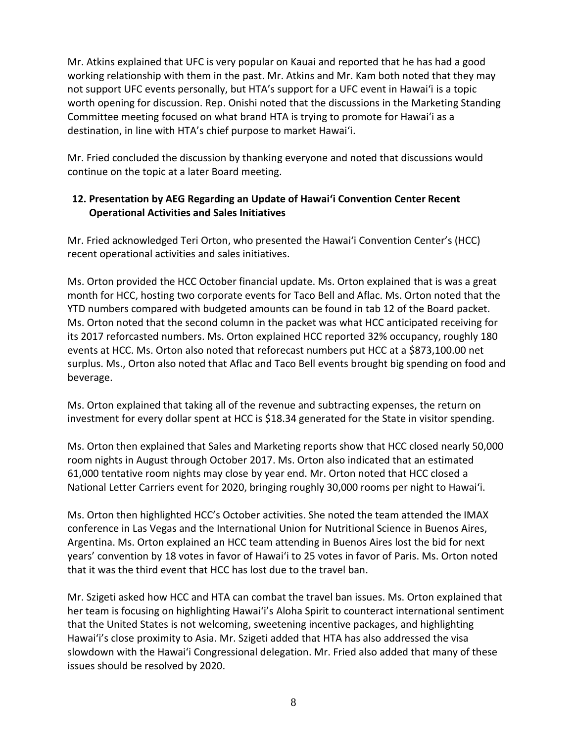Mr. Atkins explained that UFC is very popular on Kauai and reported that he has had a good working relationship with them in the past. Mr. Atkins and Mr. Kam both noted that they may not support UFC events personally, but HTA's support for a UFC event in Hawaiʻi is a topic worth opening for discussion. Rep. Onishi noted that the discussions in the Marketing Standing Committee meeting focused on what brand HTA is trying to promote for Hawaiʻi as a destination, in line with HTA's chief purpose to market Hawaiʻi.

Mr. Fried concluded the discussion by thanking everyone and noted that discussions would continue on the topic at a later Board meeting.

#### **12. Presentation by AEG Regarding an Update of Hawaiʻi Convention Center Recent Operational Activities and Sales Initiatives**

Mr. Fried acknowledged Teri Orton, who presented the Hawaiʻi Convention Center's (HCC) recent operational activities and sales initiatives.

Ms. Orton provided the HCC October financial update. Ms. Orton explained that is was a great month for HCC, hosting two corporate events for Taco Bell and Aflac. Ms. Orton noted that the YTD numbers compared with budgeted amounts can be found in tab 12 of the Board packet. Ms. Orton noted that the second column in the packet was what HCC anticipated receiving for its 2017 reforcasted numbers. Ms. Orton explained HCC reported 32% occupancy, roughly 180 events at HCC. Ms. Orton also noted that reforecast numbers put HCC at a \$873,100.00 net surplus. Ms., Orton also noted that Aflac and Taco Bell events brought big spending on food and beverage.

Ms. Orton explained that taking all of the revenue and subtracting expenses, the return on investment for every dollar spent at HCC is \$18.34 generated for the State in visitor spending.

Ms. Orton then explained that Sales and Marketing reports show that HCC closed nearly 50,000 room nights in August through October 2017. Ms. Orton also indicated that an estimated 61,000 tentative room nights may close by year end. Mr. Orton noted that HCC closed a National Letter Carriers event for 2020, bringing roughly 30,000 rooms per night to Hawaiʻi.

Ms. Orton then highlighted HCC's October activities. She noted the team attended the IMAX conference in Las Vegas and the International Union for Nutritional Science in Buenos Aires, Argentina. Ms. Orton explained an HCC team attending in Buenos Aires lost the bid for next years' convention by 18 votes in favor of Hawaiʻi to 25 votes in favor of Paris. Ms. Orton noted that it was the third event that HCC has lost due to the travel ban.

Mr. Szigeti asked how HCC and HTA can combat the travel ban issues. Ms. Orton explained that her team is focusing on highlighting Hawaiʻi's Aloha Spirit to counteract international sentiment that the United States is not welcoming, sweetening incentive packages, and highlighting Hawaiʻi's close proximity to Asia. Mr. Szigeti added that HTA has also addressed the visa slowdown with the Hawaiʻi Congressional delegation. Mr. Fried also added that many of these issues should be resolved by 2020.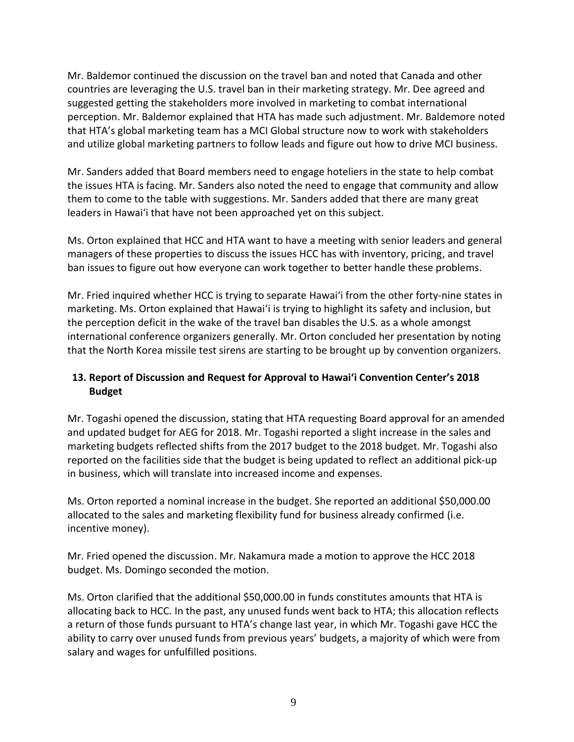Mr. Baldemor continued the discussion on the travel ban and noted that Canada and other countries are leveraging the U.S. travel ban in their marketing strategy. Mr. Dee agreed and suggested getting the stakeholders more involved in marketing to combat international perception. Mr. Baldemor explained that HTA has made such adjustment. Mr. Baldemore noted that HTA's global marketing team has a MCI Global structure now to work with stakeholders and utilize global marketing partners to follow leads and figure out how to drive MCI business.

Mr. Sanders added that Board members need to engage hoteliers in the state to help combat the issues HTA is facing. Mr. Sanders also noted the need to engage that community and allow them to come to the table with suggestions. Mr. Sanders added that there are many great leaders in Hawaiʻi that have not been approached yet on this subject.

Ms. Orton explained that HCC and HTA want to have a meeting with senior leaders and general managers of these properties to discuss the issues HCC has with inventory, pricing, and travel ban issues to figure out how everyone can work together to better handle these problems.

Mr. Fried inquired whether HCC is trying to separate Hawaiʻi from the other forty-nine states in marketing. Ms. Orton explained that Hawaiʻi is trying to highlight its safety and inclusion, but the perception deficit in the wake of the travel ban disables the U.S. as a whole amongst international conference organizers generally. Mr. Orton concluded her presentation by noting that the North Korea missile test sirens are starting to be brought up by convention organizers.

# **13. Report of Discussion and Request for Approval to Hawaiʻi Convention Center's 2018 Budget**

Mr. Togashi opened the discussion, stating that HTA requesting Board approval for an amended and updated budget for AEG for 2018. Mr. Togashi reported a slight increase in the sales and marketing budgets reflected shifts from the 2017 budget to the 2018 budget. Mr. Togashi also reported on the facilities side that the budget is being updated to reflect an additional pick-up in business, which will translate into increased income and expenses.

Ms. Orton reported a nominal increase in the budget. She reported an additional \$50,000.00 allocated to the sales and marketing flexibility fund for business already confirmed (i.e. incentive money).

Mr. Fried opened the discussion. Mr. Nakamura made a motion to approve the HCC 2018 budget. Ms. Domingo seconded the motion.

Ms. Orton clarified that the additional \$50,000.00 in funds constitutes amounts that HTA is allocating back to HCC. In the past, any unused funds went back to HTA; this allocation reflects a return of those funds pursuant to HTA's change last year, in which Mr. Togashi gave HCC the ability to carry over unused funds from previous years' budgets, a majority of which were from salary and wages for unfulfilled positions.